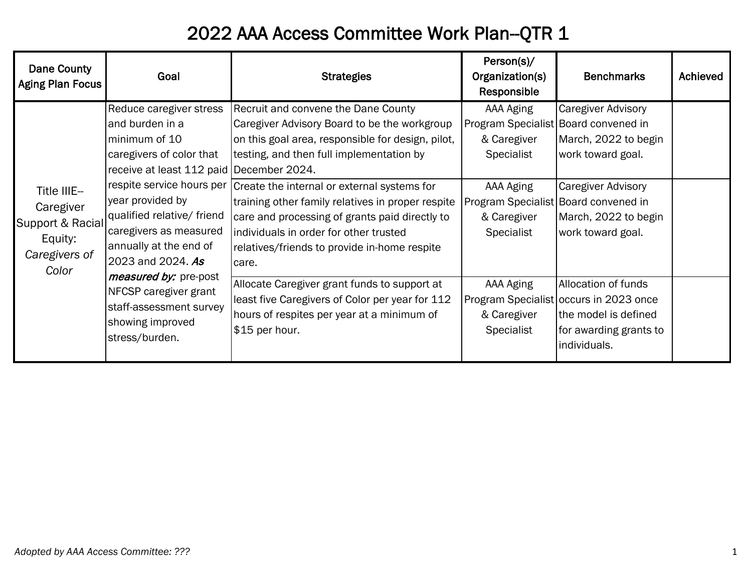## 2022 AAA Access Committee Work Plan--QTR 1

| Dane County<br>Aging Plan Focus                                                   | Goal                                                                                                                                                                                                                                                                                                                                                                                                           | <b>Strategies</b>                                                                                                                                                                                                                   | Person(s)/<br>Organization(s)<br>Responsible        | <b>Benchmarks</b>                                                                                                                           | Achieved |
|-----------------------------------------------------------------------------------|----------------------------------------------------------------------------------------------------------------------------------------------------------------------------------------------------------------------------------------------------------------------------------------------------------------------------------------------------------------------------------------------------------------|-------------------------------------------------------------------------------------------------------------------------------------------------------------------------------------------------------------------------------------|-----------------------------------------------------|---------------------------------------------------------------------------------------------------------------------------------------------|----------|
| Title IIIE-<br>Caregiver<br>Support & Racial<br>Equity:<br>Caregivers of<br>Color | Reduce caregiver stress<br>and burden in a<br>minimum of 10<br>caregivers of color that<br>receive at least 112 paid December 2024.<br>respite service hours per<br>year provided by<br>qualified relative/ friend<br>caregivers as measured<br>annually at the end of<br>2023 and 2024. As<br>measured by: pre-post<br>NFCSP caregiver grant<br>staff-assessment survey<br>showing improved<br>stress/burden. | Recruit and convene the Dane County<br>Caregiver Advisory Board to be the workgroup<br>on this goal area, responsible for design, pilot,<br>testing, and then full implementation by<br>Create the internal or external systems for | AAA Aging<br>& Caregiver<br>Specialist<br>AAA Aging | <b>Caregiver Advisory</b><br>Program Specialist Board convened in<br>March, 2022 to begin<br>work toward goal.<br><b>Caregiver Advisory</b> |          |
|                                                                                   |                                                                                                                                                                                                                                                                                                                                                                                                                | training other family relatives in proper respite<br>care and processing of grants paid directly to<br>individuals in order for other trusted<br>relatives/friends to provide in-home respite<br>care.                              | & Caregiver<br>Specialist                           | Program Specialist Board convened in<br>March, 2022 to begin<br>work toward goal.                                                           |          |
|                                                                                   |                                                                                                                                                                                                                                                                                                                                                                                                                | Allocate Caregiver grant funds to support at<br>least five Caregivers of Color per year for 112<br>hours of respites per year at a minimum of<br>\$15 per hour.                                                                     | AAA Aging<br>& Caregiver<br>Specialist              | Allocation of funds<br>Program Specialist occurs in 2023 once<br>the model is defined<br>for awarding grants to<br>individuals.             |          |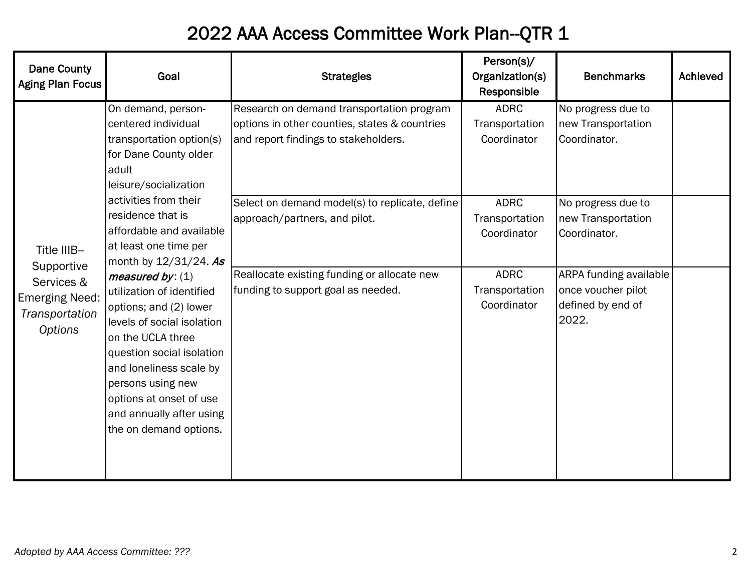## 2022 AAA Access Committee Work Plan--QTR 1

| <b>Dane County</b><br><b>Aging Plan Focus</b>                                                        | Goal                                                                                                                                                                                                                                                                                                                                                                                                                                                                                                                                                       | <b>Strategies</b>                                                                                                                                                                    | Person(s)/<br>Organization(s)<br>Responsible                                  | <b>Benchmarks</b>                                                                                                       | Achieved |
|------------------------------------------------------------------------------------------------------|------------------------------------------------------------------------------------------------------------------------------------------------------------------------------------------------------------------------------------------------------------------------------------------------------------------------------------------------------------------------------------------------------------------------------------------------------------------------------------------------------------------------------------------------------------|--------------------------------------------------------------------------------------------------------------------------------------------------------------------------------------|-------------------------------------------------------------------------------|-------------------------------------------------------------------------------------------------------------------------|----------|
| Title IIIB-<br>Supportive<br>Services &<br><b>Emerging Need:</b><br>Transportation<br><b>Options</b> | On demand, person-<br>centered individual<br>transportation option(s)<br>for Dane County older<br>adult<br>leisure/socialization<br>activities from their<br>residence that is<br>affordable and available<br>at least one time per<br>month by 12/31/24. As<br>measured by: $(1)$<br>utilization of identified<br>options; and (2) lower<br>levels of social isolation<br>on the UCLA three<br>question social isolation<br>and loneliness scale by<br>persons using new<br>options at onset of use<br>and annually after using<br>the on demand options. | Research on demand transportation program<br>options in other counties, states & countries<br>and report findings to stakeholders.<br>Select on demand model(s) to replicate, define | <b>ADRC</b><br>Transportation<br>Coordinator<br><b>ADRC</b>                   | No progress due to<br>new Transportation<br>Coordinator.<br>No progress due to                                          |          |
|                                                                                                      |                                                                                                                                                                                                                                                                                                                                                                                                                                                                                                                                                            | approach/partners, and pilot.<br>Reallocate existing funding or allocate new<br>funding to support goal as needed.                                                                   | Transportation<br>Coordinator<br><b>ADRC</b><br>Transportation<br>Coordinator | new Transportation<br>Coordinator.<br><b>ARPA funding available</b><br>once voucher pilot<br>defined by end of<br>2022. |          |